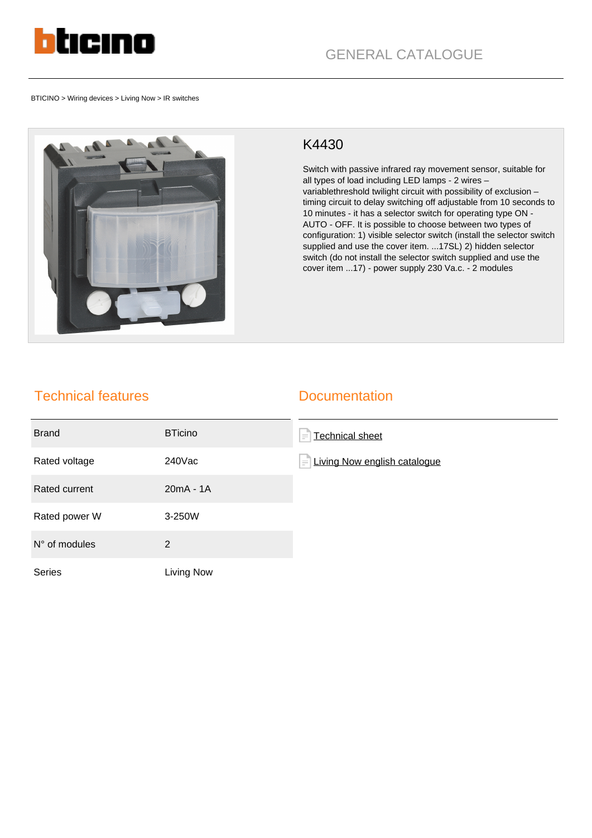

BTICINO > Wiring devices > Living Now > IR switches



## K4430

Switch with passive infrared ray movement sensor, suitable for all types of load including LED lamps - 2 wires – variablethreshold twilight circuit with possibility of exclusion – timing circuit to delay switching off adjustable from 10 seconds to 10 minutes - it has a selector switch for operating type ON - AUTO - OFF. It is possible to choose between two types of configuration: 1) visible selector switch (install the selector switch supplied and use the cover item. ...17SL) 2) hidden selector switch (do not install the selector switch supplied and use the cover item ...17) - power supply 230 Va.c. - 2 modules

## Technical features

## **Documentation**

| <b>Brand</b>  | <b>BTicino</b> | Technical sheet<br>$\equiv$              |
|---------------|----------------|------------------------------------------|
| Rated voltage | 240Vac         | Living Now english catalogue<br>$\equiv$ |
| Rated current | 20mA - 1A      |                                          |
| Rated power W | 3-250W         |                                          |
| N° of modules | 2              |                                          |
| <b>Series</b> | Living Now     |                                          |